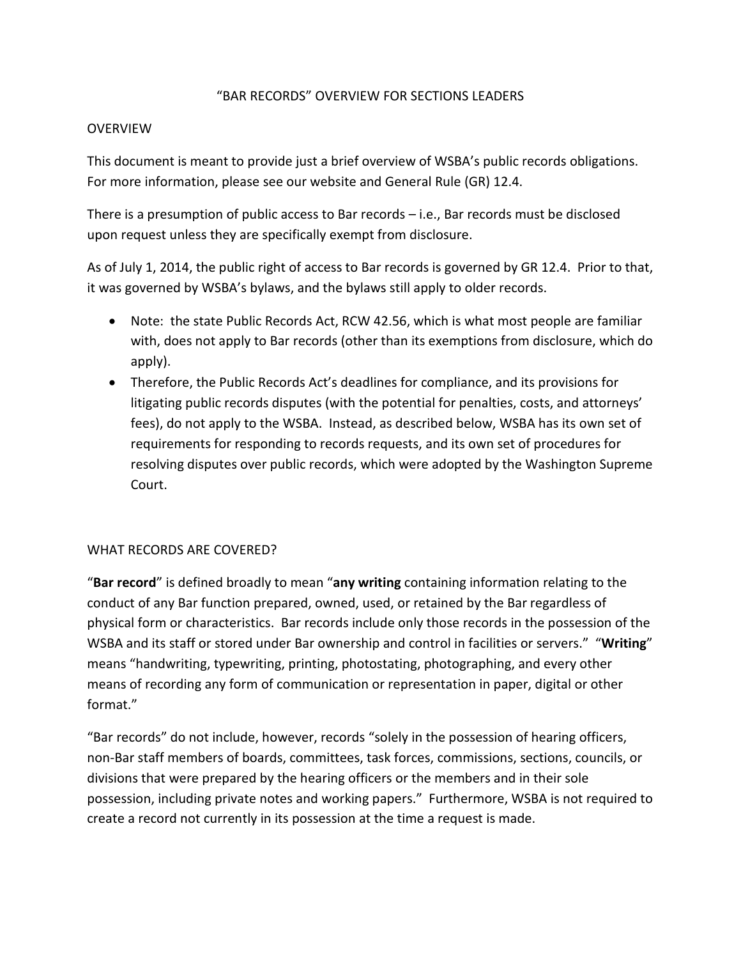### "BAR RECORDS" OVERVIEW FOR SECTIONS LEADERS

### **OVERVIEW**

This document is meant to provide just a brief overview of WSBA's public records obligations. For more information, please see our website and General Rule (GR) 12.4.

There is a presumption of public access to Bar records – i.e., Bar records must be disclosed upon request unless they are specifically exempt from disclosure.

As of July 1, 2014, the public right of access to Bar records is governed by GR 12.4. Prior to that, it was governed by WSBA's bylaws, and the bylaws still apply to older records.

- Note: the state Public Records Act, RCW 42.56, which is what most people are familiar with, does not apply to Bar records (other than its exemptions from disclosure, which do apply).
- Therefore, the Public Records Act's deadlines for compliance, and its provisions for litigating public records disputes (with the potential for penalties, costs, and attorneys' fees), do not apply to the WSBA. Instead, as described below, WSBA has its own set of requirements for responding to records requests, and its own set of procedures for resolving disputes over public records, which were adopted by the Washington Supreme Court.

### WHAT RECORDS ARE COVERED?

"**Bar record**" is defined broadly to mean "**any writing** containing information relating to the conduct of any Bar function prepared, owned, used, or retained by the Bar regardless of physical form or characteristics. Bar records include only those records in the possession of the WSBA and its staff or stored under Bar ownership and control in facilities or servers." "**Writing**" means "handwriting, typewriting, printing, photostating, photographing, and every other means of recording any form of communication or representation in paper, digital or other format."

"Bar records" do not include, however, records "solely in the possession of hearing officers, non-Bar staff members of boards, committees, task forces, commissions, sections, councils, or divisions that were prepared by the hearing officers or the members and in their sole possession, including private notes and working papers." Furthermore, WSBA is not required to create a record not currently in its possession at the time a request is made.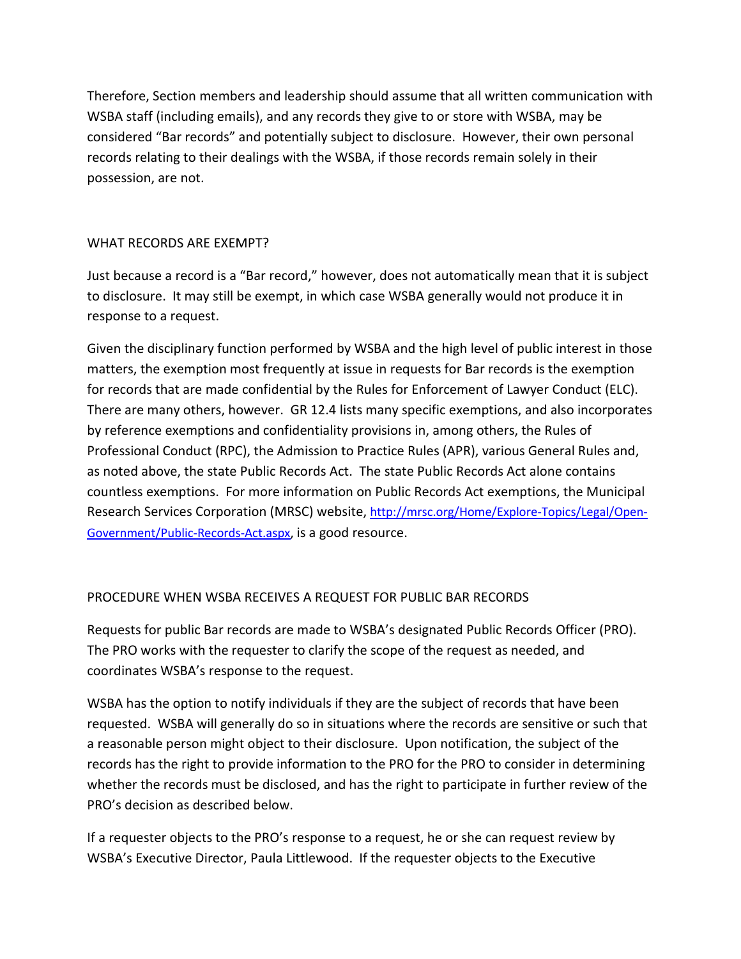Therefore, Section members and leadership should assume that all written communication with WSBA staff (including emails), and any records they give to or store with WSBA, may be considered "Bar records" and potentially subject to disclosure. However, their own personal records relating to their dealings with the WSBA, if those records remain solely in their possession, are not.

# WHAT RECORDS ARE EXEMPT?

Just because a record is a "Bar record," however, does not automatically mean that it is subject to disclosure. It may still be exempt, in which case WSBA generally would not produce it in response to a request.

Given the disciplinary function performed by WSBA and the high level of public interest in those matters, the exemption most frequently at issue in requests for Bar records is the exemption for records that are made confidential by the Rules for Enforcement of Lawyer Conduct (ELC). There are many others, however. GR 12.4 lists many specific exemptions, and also incorporates by reference exemptions and confidentiality provisions in, among others, the Rules of Professional Conduct (RPC), the Admission to Practice Rules (APR), various General Rules and, as noted above, the state Public Records Act. The state Public Records Act alone contains countless exemptions. For more information on Public Records Act exemptions, the Municipal Research Services Corporation (MRSC) website[, http://mrsc.org/Home/Explore-Topics/Legal/Open-](http://mrsc.org/Home/Explore-Topics/Legal/Open-Government/Public-Records-Act.aspx)[Government/Public-Records-Act.aspx,](http://mrsc.org/Home/Explore-Topics/Legal/Open-Government/Public-Records-Act.aspx) is a good resource.

# PROCEDURE WHEN WSBA RECEIVES A REQUEST FOR PUBLIC BAR RECORDS

Requests for public Bar records are made to WSBA's designated Public Records Officer (PRO). The PRO works with the requester to clarify the scope of the request as needed, and coordinates WSBA's response to the request.

WSBA has the option to notify individuals if they are the subject of records that have been requested. WSBA will generally do so in situations where the records are sensitive or such that a reasonable person might object to their disclosure. Upon notification, the subject of the records has the right to provide information to the PRO for the PRO to consider in determining whether the records must be disclosed, and has the right to participate in further review of the PRO's decision as described below.

If a requester objects to the PRO's response to a request, he or she can request review by WSBA's Executive Director, Paula Littlewood. If the requester objects to the Executive